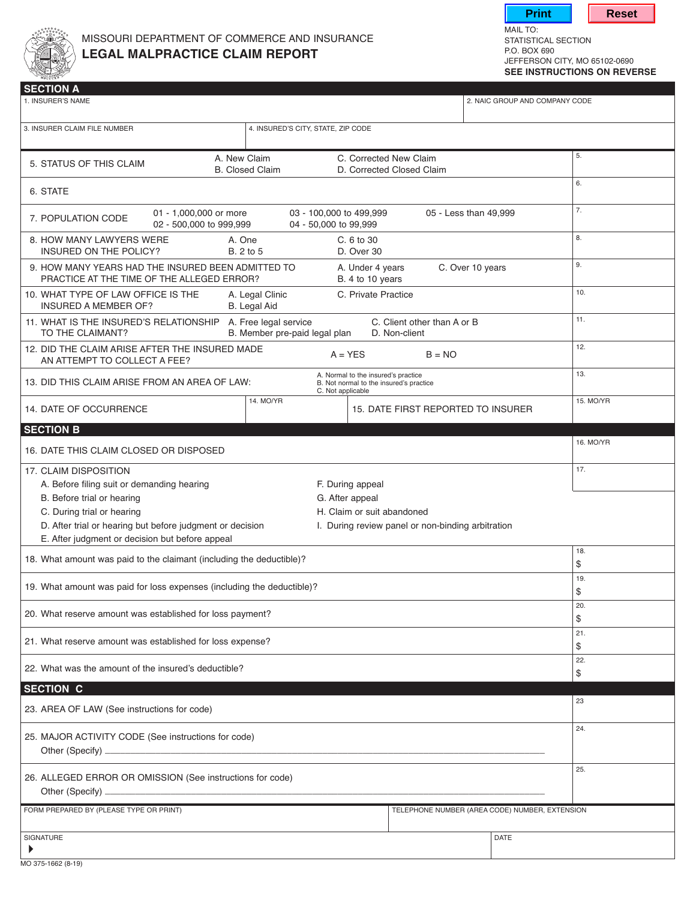



MAIL TO:<br>STATISTICAL SECTION JEFFERSON CITY, MO 65102-0690 **see instructions on reverse**

| 1. INSURER'S NAME                                                                                                                                            |                                        |                                                     | 2. NAIC GROUP AND COMPANY CODE                 |           |
|--------------------------------------------------------------------------------------------------------------------------------------------------------------|----------------------------------------|-----------------------------------------------------|------------------------------------------------|-----------|
| 3. INSURER CLAIM FILE NUMBER                                                                                                                                 | 4. INSURED'S CITY, STATE, ZIP CODE     |                                                     |                                                |           |
| 5. STATUS OF THIS CLAIM                                                                                                                                      | A. New Claim<br><b>B.</b> Closed Claim | C. Corrected New Claim<br>D. Corrected Closed Claim |                                                | 5.        |
| 6. STATE                                                                                                                                                     |                                        |                                                     |                                                | 6.        |
| 01 - 1,000,000 or more<br>03 - 100,000 to 499,999<br>05 - Less than 49,999<br>7. POPULATION CODE<br>02 - 500,000 to 999,999<br>04 - 50,000 to 99,999         |                                        |                                                     |                                                | 7.        |
| 8. HOW MANY LAWYERS WERE<br>A. One<br>C. 6 to 30<br><b>INSURED ON THE POLICY?</b><br>B. 2 to 5<br>D. Over 30                                                 |                                        |                                                     |                                                | 8.        |
| 9. HOW MANY YEARS HAD THE INSURED BEEN ADMITTED TO<br>C. Over 10 years<br>A. Under 4 years<br>PRACTICE AT THE TIME OF THE ALLEGED ERROR?<br>B. 4 to 10 years |                                        |                                                     |                                                | 9.        |
| A. Legal Clinic<br>C. Private Practice<br>10. WHAT TYPE OF LAW OFFICE IS THE<br><b>INSURED A MEMBER OF?</b><br>B. Legal Aid                                  |                                        |                                                     |                                                | 10.       |
| 11. WHAT IS THE INSURED'S RELATIONSHIP A. Free legal service<br>TO THE CLAIMANT?                                                                             | B. Member pre-paid legal plan          | C. Client other than A or B<br>D. Non-client        |                                                | 11.       |
| 12. DID THE CLAIM ARISE AFTER THE INSURED MADE<br>AN ATTEMPT TO COLLECT A FEE?                                                                               |                                        | $A = YES$                                           | $B = NO$                                       | 12.       |
| A. Normal to the insured's practice<br>13. DID THIS CLAIM ARISE FROM AN AREA OF LAW:<br>B. Not normal to the insured's practice<br>C. Not applicable         |                                        |                                                     |                                                | 13.       |
| 14. DATE OF OCCURRENCE                                                                                                                                       | 14. MO/YR                              |                                                     | 15. DATE FIRST REPORTED TO INSURER             | 15. MO/YR |
| <b>SECTION B</b>                                                                                                                                             |                                        |                                                     |                                                |           |
| 16. DATE THIS CLAIM CLOSED OR DISPOSED                                                                                                                       |                                        |                                                     |                                                | 16. MO/YR |
| 17. CLAIM DISPOSITION                                                                                                                                        |                                        |                                                     |                                                | 17.       |
| A. Before filing suit or demanding hearing<br>F. During appeal                                                                                               |                                        |                                                     |                                                |           |
| B. Before trial or hearing                                                                                                                                   |                                        | G. After appeal                                     |                                                |           |
| C. During trial or hearing                                                                                                                                   |                                        | H. Claim or suit abandoned                          |                                                |           |
| D. After trial or hearing but before judgment or decision                                                                                                    |                                        | I. During review panel or non-binding arbitration   |                                                |           |
| E. After judgment or decision but before appeal                                                                                                              |                                        |                                                     |                                                |           |
|                                                                                                                                                              |                                        |                                                     |                                                | 18.       |
| 18. What amount was paid to the claimant (including the deductible)?                                                                                         |                                        |                                                     | \$                                             |           |
| 19. What amount was paid for loss expenses (including the deductible)?                                                                                       |                                        |                                                     |                                                | 19.<br>\$ |
|                                                                                                                                                              |                                        |                                                     |                                                | 20.       |
| 20. What reserve amount was established for loss payment?                                                                                                    |                                        |                                                     |                                                | \$        |
| 21. What reserve amount was established for loss expense?                                                                                                    |                                        |                                                     | 21.<br>\$                                      |           |
| 22. What was the amount of the insured's deductible?                                                                                                         |                                        |                                                     |                                                | 22.<br>\$ |
| <b>SECTION C</b>                                                                                                                                             |                                        |                                                     |                                                |           |
| 23. AREA OF LAW (See instructions for code)                                                                                                                  |                                        |                                                     |                                                | 23        |
| 25. MAJOR ACTIVITY CODE (See instructions for code)                                                                                                          |                                        |                                                     |                                                | 24.       |
| 26. ALLEGED ERROR OR OMISSION (See instructions for code)<br>Other (Specify) _                                                                               |                                        |                                                     |                                                | 25.       |
| FORM PREPARED BY (PLEASE TYPE OR PRINT)                                                                                                                      |                                        |                                                     | TELEPHONE NUMBER (AREA CODE) NUMBER, EXTENSION |           |
| SIGNATURE<br>▶                                                                                                                                               |                                        |                                                     | <b>DATE</b>                                    |           |
|                                                                                                                                                              |                                        |                                                     |                                                |           |